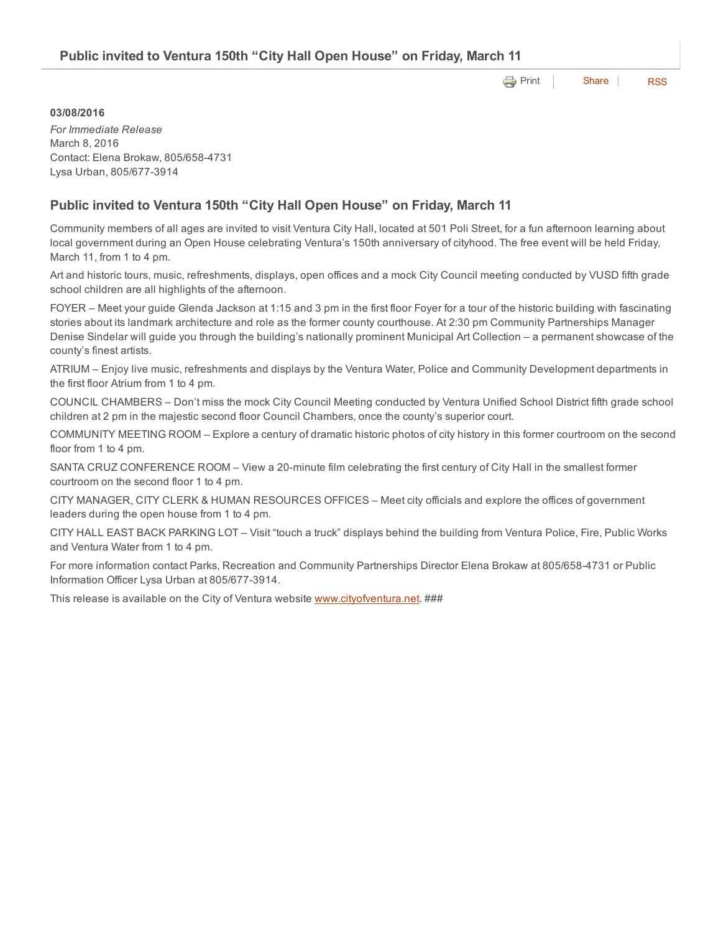**[Print](http://www.cityofventura.net/print/17519) [Share](javascript:void(0)) [RSS](http://www.cityofventura.net/feed/press_release/rss.xml)** 

## 03/08/2016

*For Immediate Release* March 8, 2016 Contact: Elena Brokaw, 805/658-4731 Lysa Urban, 805/677-3914

## Public invited to Ventura 150th "City Hall Open House" on Friday, March 11

Community members of all ages are invited to visit Ventura City Hall, located at 501 Poli Street, for a fun afternoon learning about local government during an Open House celebrating Ventura's 150th anniversary of cityhood. The free event will be held Friday, March 11, from 1 to 4 pm.

Art and historic tours, music, refreshments, displays, open offices and a mock City Council meeting conducted by VUSD fifth grade school children are all highlights of the afternoon.

FOYER – Meet your guide Glenda Jackson at 1:15 and 3 pm in the first floor Foyer for a tour of the historic building with fascinating stories about its landmark architecture and role as the former county courthouse. At 2:30 pm Community Partnerships Manager Denise Sindelar will guide you through the building's nationally prominent Municipal Art Collection – a permanent showcase of the county's finest artists.

ATRIUM – Enjoy live music, refreshments and displays by the Ventura Water, Police and Community Development departments in the first floor Atrium from 1 to 4 pm.

COUNCIL CHAMBERS – Don't miss the mock City Council Meeting conducted by Ventura Unified School District fifth grade school children at 2 pm in the majestic second floor Council Chambers, once the county's superior court.

COMMUNITY MEETING ROOM – Explore a century of dramatic historic photos of city history in this former courtroom on the second floor from 1 to 4 pm.

SANTA CRUZ CONFERENCE ROOM – View a 20-minute film celebrating the first century of City Hall in the smallest former courtroom on the second floor 1 to 4 pm.

CITY MANAGER, CITY CLERK & HUMAN RESOURCES OFFICES – Meet city officials and explore the offices of government leaders during the open house from 1 to 4 pm.

CITY HALL EAST BACK PARKING LOT – Visit "touch a truck" displays behind the building from Ventura Police, Fire, Public Works and Ventura Water from 1 to 4 pm.

For more information contact Parks, Recreation and Community Partnerships Director Elena Brokaw at 805/658-4731 or Public Information Officer Lysa Urban at 805/677-3914.

This release is available on the City of Ventura website [www.cityofventura.net](http://www.cityofventura.net/). ###